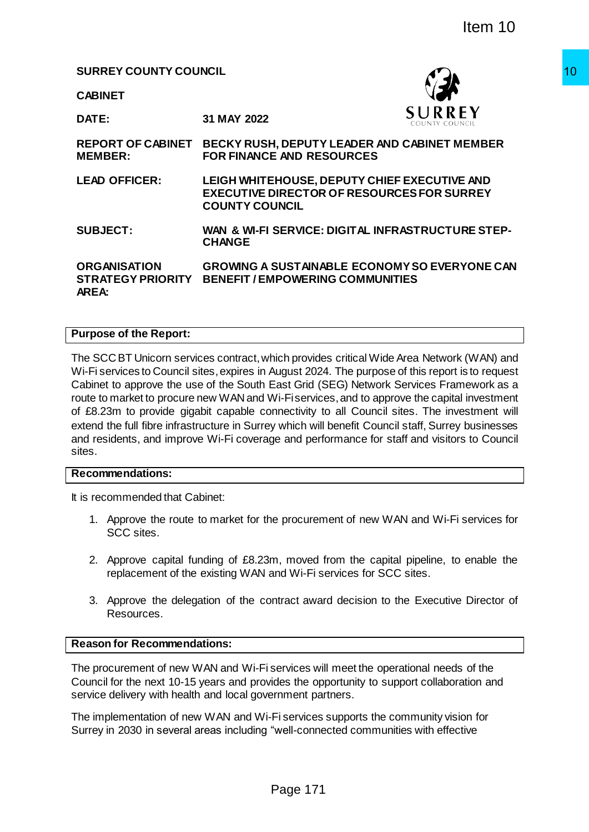**SURREY COUNTY COUNCIL**

**CABINET**



**DATE: 31 MAY 2022**

**REPORT OF CABINET BECKY RUSH, DEPUTY LEADER AND CABINET MEMBER MEMBER: FOR FINANCE AND RESOURCES LEAD OFFICER: LEIGH WHITEHOUSE, DEPUTY CHIEF EXECUTIVE AND EXECUTIVE DIRECTOR OF RESOURCES FOR SURREY COUNTY COUNCIL SUBJECT: WAN & WI-FI SERVICE: DIGITAL INFRASTRUCTURE STEP-CHANGE ORGANISATION STRATEGY PRIORITY AREA: GROWING A SUSTAINABLE ECONOMY SO EVERYONE CAN BENEFIT / EMPOWERING COMMUNITIES** The Magnetic Magnetic Search of the Community of the Community of The Magnetic Search of Theories of the Communication of the Communication of the Communication of the Communication of the Communication of the Communicatio

#### **Purpose of the Report:**

The SCC BT Unicorn services contract, which provides critical Wide Area Network (WAN) and Wi-Fi services to Council sites, expires in August 2024. The purpose of this report is to request Cabinet to approve the use of the South East Grid (SEG) Network Services Framework as a route to market to procure new WAN and Wi-Fi services, and to approve the capital investment of £8.23m to provide gigabit capable connectivity to all Council sites. The investment will extend the full fibre infrastructure in Surrey which will benefit Council staff, Surrey businesses and residents, and improve Wi-Fi coverage and performance for staff and visitors to Council sites.

### **Recommendations:**

It is recommended that Cabinet:

- 1. Approve the route to market for the procurement of new WAN and Wi-Fi services for SCC sites.
- 2. Approve capital funding of £8.23m, moved from the capital pipeline, to enable the replacement of the existing WAN and Wi-Fi services for SCC sites.
- 3. Approve the delegation of the contract award decision to the Executive Director of Resources.

## **Reason for Recommendations:**

The procurement of new WAN and Wi-Fi services will meet the operational needs of the Council for the next 10-15 years and provides the opportunity to support collaboration and service delivery with health and local government partners.

The implementation of new WAN and Wi-Fi services supports the community vision for Surrey in 2030 in several areas including "well-connected communities with effective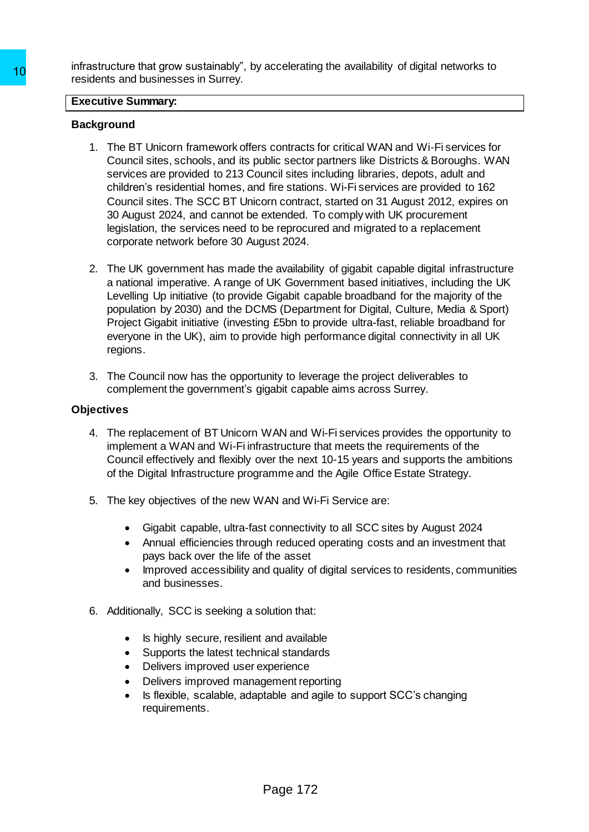infrastructure that grow sustainably", by accelerating the availability of digital networks to residents and businesses in Surrey.

#### **Executive Summary:**

### **Background**

- 1. The BT Unicorn framework offers contracts for critical WAN and Wi-Fi services for Council sites, schools, and its public sector partners like Districts & Boroughs. WAN services are provided to 213 Council sites including libraries, depots, adult and children's residential homes, and fire stations. Wi-Fi services are provided to 162 Council sites. The SCC BT Unicorn contract, started on 31 August 2012, expires on 30 August 2024, and cannot be extended. To comply with UK procurement legislation, the services need to be reprocured and migrated to a replacement corporate network before 30 August 2024. Transposition and your solution of the BT Unicorn framework offers contracts<br>
Testdents and businesses in Surrey.<br> **Executive Summary:**<br> **Executive Summary:**<br> **Packground**<br>
1. The BT Unicorn framework offers contracts<br>
Cou
	- 2. The UK government has made the availability of gigabit capable digital infrastructure a national imperative. A range of UK Government based initiatives, including the UK Levelling Up initiative (to provide Gigabit capable broadband for the majority of the population by 2030) and the DCMS (Department for Digital, Culture, Media & Sport) Project Gigabit initiative (investing £5bn to provide ultra-fast, reliable broadband for everyone in the UK), aim to provide high performance digital connectivity in all UK regions.
	- 3. The Council now has the opportunity to leverage the project deliverables to complement the government's gigabit capable aims across Surrey.

### **Objectives**

- 4. The replacement of BT Unicorn WAN and Wi-Fi services provides the opportunity to implement a WAN and Wi-Fi infrastructure that meets the requirements of the Council effectively and flexibly over the next 10-15 years and supports the ambitions of the Digital Infrastructure programme and the Agile Office Estate Strategy.
- 5. The key objectives of the new WAN and Wi-Fi Service are:
	- Gigabit capable, ultra-fast connectivity to all SCC sites by August 2024
	- Annual efficiencies through reduced operating costs and an investment that pays back over the life of the asset
	- Improved accessibility and quality of digital services to residents, communities and businesses.
- 6. Additionally, SCC is seeking a solution that:
	- Is highly secure, resilient and available
	- Supports the latest technical standards
	- Delivers improved user experience
	- Delivers improved management reporting
	- Is flexible, scalable, adaptable and agile to support SCC's changing requirements.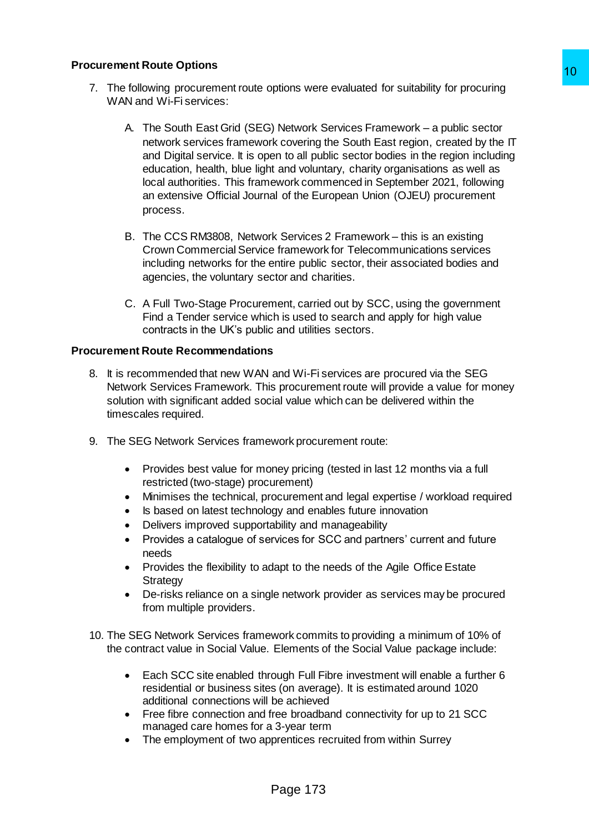- 7. The following procurement route options were evaluated for suitability for procuring WAN and Wi-Fi services:
- A. The South East Grid (SEG) Network Services Framework a public sector network services framework covering the South East region, created by the IT and Digital service. It is open to all public sector bodies in the region including education, health, blue light and voluntary, charity organisations as well as local authorities. This framework commenced in September 2021, following an extensive Official Journal of the European Union (OJEU) procurement process. 10<br>
ppinors were evaluated for suitability for procuring<br>
10<br>
Network Services Framework – a public sector<br>
is covering the South East region, created by the IT<br>
is covering the South East region, created by the IT<br>
and vo
	- B. The CCS RM3808, Network Services 2 Framework this is an existing Crown Commercial Service framework for Telecommunications services including networks for the entire public sector, their associated bodies and agencies, the voluntary sector and charities.
	- C. A Full Two-Stage Procurement, carried out by SCC, using the government Find a Tender service which is used to search and apply for high value contracts in the UK's public and utilities sectors.

## **Procurement Route Recommendations**

- 8. It is recommended that new WAN and Wi-Fi services are procured via the SEG Network Services Framework. This procurement route will provide a value for money solution with significant added social value which can be delivered within the timescales required.
- 9. The SEG Network Services framework procurement route:
	- Provides best value for money pricing (tested in last 12 months via a full restricted (two-stage) procurement)
	- Minimises the technical, procurement and legal expertise / workload required
	- Is based on latest technology and enables future innovation
	- Delivers improved supportability and manageability
	- Provides a catalogue of services for SCC and partners' current and future needs
	- Provides the flexibility to adapt to the needs of the Agile Office Estate **Strategy**
	- De-risks reliance on a single network provider as services may be procured from multiple providers.
- 10. The SEG Network Services framework commits to providing a minimum of 10% of the contract value in Social Value. Elements of the Social Value package include:
	- Each SCC site enabled through Full Fibre investment will enable a further 6 residential or business sites (on average). It is estimated around 1020 additional connections will be achieved
	- Free fibre connection and free broadband connectivity for up to 21 SCC managed care homes for a 3-year term
	- The employment of two apprentices recruited from within Surrey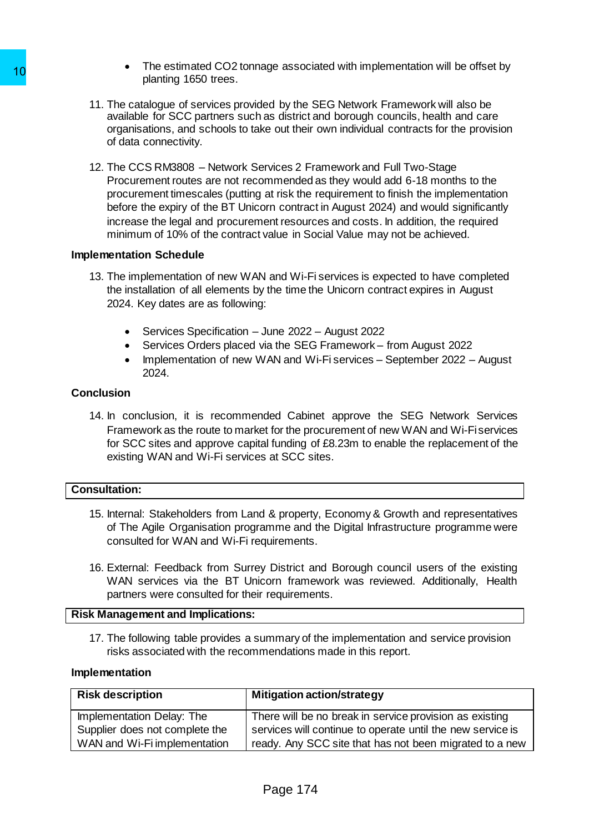- The estimated CO2 tonnage associated with implementation will be offset by planting 1650 trees.
- 11. The catalogue of services provided by the SEG Network Framework will also be available for SCC partners such as district and borough councils, health and care organisations, and schools to take out their own individual contracts for the provision of data connectivity.
- 12. The CCS RM3808 Network Services 2 Framework and Full Two-Stage Procurement routes are not recommended as they would add 6-18 months to the procurement timescales (putting at risk the requirement to finish the implementation before the expiry of the BT Unicorn contract in August 2024) and would significantly increase the legal and procurement resources and costs. In addition, the required minimum of 10% of the contract value in Social Value may not be achieved. The same that the contents such that the contents of the Same Missile in Solution (Solution Scale)<br>
21. The catalogue of services provided by the Solution of data connectivity.<br>
12. The CoCS particles content of data conne

#### **Implementation Schedule**

- 13. The implementation of new WAN and Wi-Fi services is expected to have completed the installation of all elements by the time the Unicorn contract expires in August 2024. Key dates are as following:
	- Services Specification June 2022 August 2022
	- Services Orders placed via the SEG Framework from August 2022
	- Implementation of new WAN and Wi-Fi services September 2022 August 2024.

## **Conclusion**

14. In conclusion, it is recommended Cabinet approve the SEG Network Services Framework as the route to market for the procurement of new WAN and Wi-Fi services for SCC sites and approve capital funding of £8.23m to enable the replacement of the existing WAN and Wi-Fi services at SCC sites.

#### **Consultation:**

- 15. Internal: Stakeholders from Land & property, Economy & Growth and representatives of The Agile Organisation programme and the Digital Infrastructure programme were consulted for WAN and Wi-Fi requirements.
- 16. External: Feedback from Surrey District and Borough council users of the existing WAN services via the BT Unicorn framework was reviewed. Additionally, Health partners were consulted for their requirements.

#### **Risk Management and Implications:**

17. The following table provides a summary of the implementation and service provision risks associated with the recommendations made in this report.

#### **Implementation**

| <b>Risk description</b>        | <b>Mitigation action/strategy</b>                          |
|--------------------------------|------------------------------------------------------------|
| Implementation Delay: The      | There will be no break in service provision as existing    |
| Supplier does not complete the | services will continue to operate until the new service is |
| WAN and Wi-Fi implementation   | ready. Any SCC site that has not been migrated to a new    |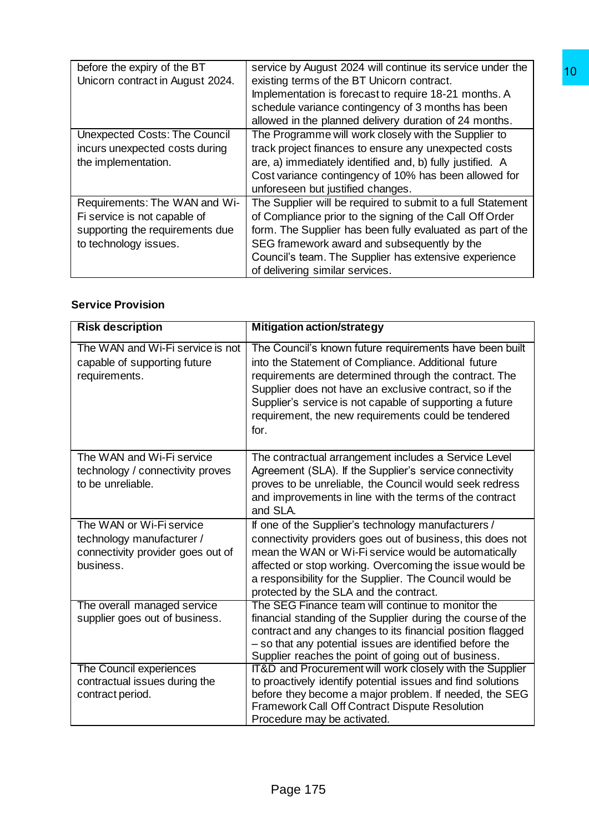| before the expiry of the BT          | service by August 2024 will continue its service under the  |
|--------------------------------------|-------------------------------------------------------------|
| Unicorn contract in August 2024.     | existing terms of the BT Unicorn contract.                  |
|                                      | Implementation is forecast to require 18-21 months. A       |
|                                      | schedule variance contingency of 3 months has been          |
|                                      | allowed in the planned delivery duration of 24 months.      |
| <b>Unexpected Costs: The Council</b> | The Programme will work closely with the Supplier to        |
| incurs unexpected costs during       | track project finances to ensure any unexpected costs       |
| the implementation.                  | are, a) immediately identified and, b) fully justified. A   |
|                                      | Cost variance contingency of 10% has been allowed for       |
|                                      | unforeseen but justified changes.                           |
| Requirements: The WAN and Wi-        | The Supplier will be required to submit to a full Statement |
| Fi service is not capable of         | of Compliance prior to the signing of the Call Off Order    |
| supporting the requirements due      | form. The Supplier has been fully evaluated as part of the  |
| to technology issues.                | SEG framework award and subsequently by the                 |
|                                      | Council's team. The Supplier has extensive experience       |
|                                      | of delivering similar services.                             |

# **Service Provision**

|                                                                                                                           | existing terms of the BT Unicorn contract.<br>Implementation is forecast to require 18-21 months. A<br>schedule variance contingency of 3 months has been<br>allowed in the planned delivery duration of 24 months.                                                                                                                                           |
|---------------------------------------------------------------------------------------------------------------------------|---------------------------------------------------------------------------------------------------------------------------------------------------------------------------------------------------------------------------------------------------------------------------------------------------------------------------------------------------------------|
| <b>Unexpected Costs: The Council</b><br>incurs unexpected costs during<br>the implementation.                             | The Programme will work closely with the Supplier to<br>track project finances to ensure any unexpected costs<br>are, a) immediately identified and, b) fully justified. A<br>Cost variance contingency of 10% has been allowed for<br>unforeseen but justified changes.                                                                                      |
| Requirements: The WAN and Wi-<br>Fi service is not capable of<br>supporting the requirements due<br>to technology issues. | The Supplier will be required to submit to a full Statement<br>of Compliance prior to the signing of the Call Off Order<br>form. The Supplier has been fully evaluated as part of the<br>SEG framework award and subsequently by the<br>Council's team. The Supplier has extensive experience<br>of delivering similar services.                              |
| <b>Service Provision</b>                                                                                                  |                                                                                                                                                                                                                                                                                                                                                               |
| <b>Risk description</b>                                                                                                   | <b>Mitigation action/strategy</b>                                                                                                                                                                                                                                                                                                                             |
| The WAN and Wi-Fi service is not<br>capable of supporting future<br>requirements.                                         | The Council's known future requirements have been built<br>into the Statement of Compliance. Additional future<br>requirements are determined through the contract. The<br>Supplier does not have an exclusive contract, so if the<br>Supplier's service is not capable of supporting a future<br>requirement, the new requirements could be tendered<br>for. |
| The WAN and Wi-Fi service<br>technology / connectivity proves<br>to be unreliable.                                        | The contractual arrangement includes a Service Level<br>Agreement (SLA). If the Supplier's service connectivity<br>proves to be unreliable, the Council would seek redress<br>and improvements in line with the terms of the contract<br>and SLA.                                                                                                             |
| The WAN or Wi-Fi service<br>technology manufacturer /<br>connectivity provider goes out of<br>business.                   | If one of the Supplier's technology manufacturers /<br>connectivity providers goes out of business, this does not<br>mean the WAN or Wi-Fi service would be automatically<br>affected or stop working. Overcoming the issue would be<br>a responsibility for the Supplier. The Council would be<br>protected by the SLA and the contract.                     |
| The overall managed service<br>supplier goes out of business.                                                             | The SEG Finance team will continue to monitor the<br>financial standing of the Supplier during the course of the<br>contract and any changes to its financial position flagged<br>- so that any potential issues are identified before the<br>Supplier reaches the point of going out of business.                                                            |
| The Council experiences                                                                                                   | IT&D and Procurement will work closely with the Supplier<br>to proactively identify potential issues and find solutions<br>before they become a major problem. If needed, the SEG                                                                                                                                                                             |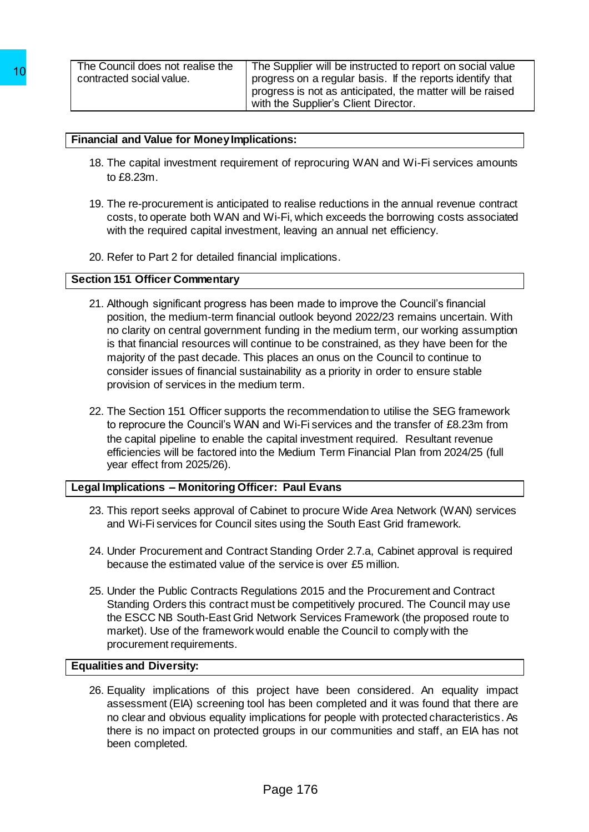## **Financial and Value for Money Implications:**

- 18. The capital investment requirement of reprocuring WAN and Wi-Fi services amounts to £8.23m.
- 19. The re-procurement is anticipated to realise reductions in the annual revenue contract costs, to operate both WAN and Wi-Fi, which exceeds the borrowing costs associated with the required capital investment, leaving an annual net efficiency.
- 20. Refer to Part 2 for detailed financial implications.

#### **Section 151 Officer Commentary**

- 21. Although significant progress has been made to improve the Council's financial position, the medium-term financial outlook beyond 2022/23 remains uncertain. With no clarity on central government funding in the medium term, our working assumption is that financial resources will continue to be constrained, as they have been for the majority of the past decade. This places an onus on the Council to continue to consider issues of financial sustainability as a priority in order to ensure stable provision of services in the medium term. 10<br>
To contracted social value.<br>
Progress on a<br>
progress on a<br>
progress on a<br>
with the Supp<br>
Trianancial and Value for Money Implications:<br>
18. The capital investment requirement of report<br>
to £8.22m.<br>
19. The re-procureme
	- 22. The Section 151 Officer supports the recommendation to utilise the SEG framework to reprocure the Council's WAN and Wi-Fi services and the transfer of £8.23m from the capital pipeline to enable the capital investment required. Resultant revenue efficiencies will be factored into the Medium Term Financial Plan from 2024/25 (full year effect from 2025/26).

## **Legal Implications – Monitoring Officer: Paul Evans**

- 23. This report seeks approval of Cabinet to procure Wide Area Network (WAN) services and Wi-Fi services for Council sites using the South East Grid framework.
- 24. Under Procurement and Contract Standing Order 2.7.a, Cabinet approval is required because the estimated value of the service is over £5 million.
- 25. Under the Public Contracts Regulations 2015 and the Procurement and Contract Standing Orders this contract must be competitively procured. The Council may use the ESCC NB South-East Grid Network Services Framework (the proposed route to market). Use of the framework would enable the Council to comply with the procurement requirements.

## **Equalities and Diversity:**

26. Equality implications of this project have been considered. An equality impact assessment (EIA) screening tool has been completed and it was found that there are no clear and obvious equality implications for people with protected characteristics. As there is no impact on protected groups in our communities and staff, an EIA has not been completed.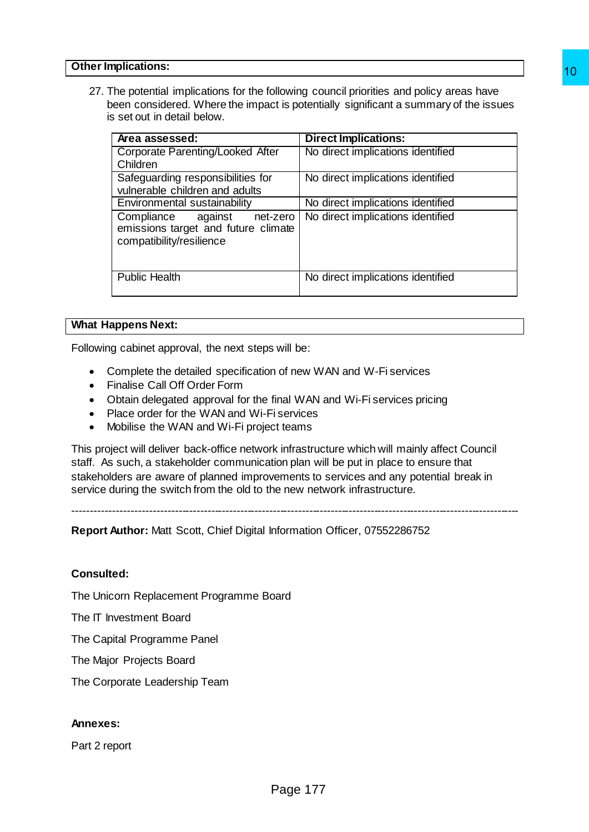27. The potential implications for the following council priorities and policy areas have been considered. Where the impact is potentially significant a summary of the issues is set out in detail below.

| πριισατιστις.                                                                                                                                                                                                                                                       |                                                                                                                                                                               |
|---------------------------------------------------------------------------------------------------------------------------------------------------------------------------------------------------------------------------------------------------------------------|-------------------------------------------------------------------------------------------------------------------------------------------------------------------------------|
| s set out in detail below.                                                                                                                                                                                                                                          | The potential implications for the following council priorities and policy areas have<br>been considered. Where the impact is potentially significant a summary of the issues |
| Area assessed:                                                                                                                                                                                                                                                      | <b>Direct Implications:</b>                                                                                                                                                   |
| <b>Corporate Parenting/Looked After</b><br>Children                                                                                                                                                                                                                 | No direct implications identified                                                                                                                                             |
| Safeguarding responsibilities for<br>vulnerable children and adults                                                                                                                                                                                                 | No direct implications identified                                                                                                                                             |
| Environmental sustainability                                                                                                                                                                                                                                        | No direct implications identified                                                                                                                                             |
| Compliance<br>against<br>net-zero<br>emissions target and future climate<br>compatibility/resilience                                                                                                                                                                | No direct implications identified                                                                                                                                             |
| <b>Public Health</b>                                                                                                                                                                                                                                                | No direct implications identified                                                                                                                                             |
| appens Next:                                                                                                                                                                                                                                                        |                                                                                                                                                                               |
|                                                                                                                                                                                                                                                                     |                                                                                                                                                                               |
| g cabinet approval, the next steps will be:                                                                                                                                                                                                                         |                                                                                                                                                                               |
| Mobilise the WAN and Wi-Fi project teams<br>s such, a stakeholder communication plan will be put in place to ensure that<br>during the switch from the old to the new network infrastructure.<br>Author: Matt Scott, Chief Digital Information Officer, 07552286752 | ject will deliver back-office network infrastructure which will mainly affect Council<br>lders are aware of planned improvements to services and any potential break in       |
| led:                                                                                                                                                                                                                                                                |                                                                                                                                                                               |
| corn Replacement Programme Board                                                                                                                                                                                                                                    |                                                                                                                                                                               |
| <b>nvestment Board</b>                                                                                                                                                                                                                                              |                                                                                                                                                                               |
| bital Programme Panel                                                                                                                                                                                                                                               |                                                                                                                                                                               |
| or Projects Board                                                                                                                                                                                                                                                   |                                                                                                                                                                               |
| porate Leadership Team                                                                                                                                                                                                                                              |                                                                                                                                                                               |
| s:                                                                                                                                                                                                                                                                  |                                                                                                                                                                               |
| eport                                                                                                                                                                                                                                                               |                                                                                                                                                                               |
| Page 177                                                                                                                                                                                                                                                            |                                                                                                                                                                               |

#### **What Happens Next:**

Following cabinet approval, the next steps will be:

- Complete the detailed specification of new WAN and W-Fi services
- Finalise Call Off Order Form
- Obtain delegated approval for the final WAN and Wi-Fi services pricing
- Place order for the WAN and Wi-Fi services
- Mobilise the WAN and Wi-Fi project teams

This project will deliver back-office network infrastructure which will mainly affect Council staff. As such, a stakeholder communication plan will be put in place to ensure that stakeholders are aware of planned improvements to services and any potential break in service during the switch from the old to the new network infrastructure.

---------------------------------------------------------------------------------------------------------------------------

**Report Author:** Matt Scott, Chief Digital Information Officer, 07552286752

#### **Consulted:**

The Unicorn Replacement Programme Board

The IT Investment Board

The Capital Programme Panel

The Major Projects Board

The Corporate Leadership Team

#### **Annexes:**

Part 2 report